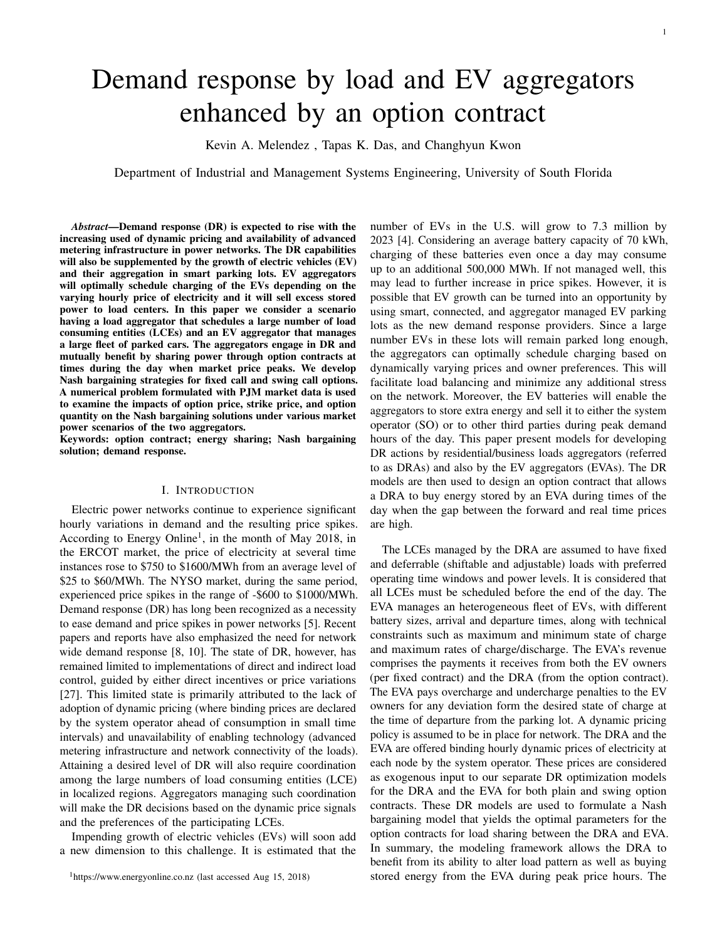# Demand response by load and EV aggregators enhanced by an option contract

Kevin A. Melendez , Tapas K. Das, and Changhyun Kwon

Department of Industrial and Management Systems Engineering, University of South Florida

*Abstract*—Demand response (DR) is expected to rise with the increasing used of dynamic pricing and availability of advanced metering infrastructure in power networks. The DR capabilities will also be supplemented by the growth of electric vehicles (EV) and their aggregation in smart parking lots. EV aggregators will optimally schedule charging of the EVs depending on the varying hourly price of electricity and it will sell excess stored power to load centers. In this paper we consider a scenario having a load aggregator that schedules a large number of load consuming entities (LCEs) and an EV aggregator that manages a large fleet of parked cars. The aggregators engage in DR and mutually benefit by sharing power through option contracts at times during the day when market price peaks. We develop Nash bargaining strategies for fixed call and swing call options. A numerical problem formulated with PJM market data is used to examine the impacts of option price, strike price, and option quantity on the Nash bargaining solutions under various market power scenarios of the two aggregators.

Keywords: option contract; energy sharing; Nash bargaining solution; demand response.

# I. INTRODUCTION

Electric power networks continue to experience significant hourly variations in demand and the resulting price spikes. According to Energy Online<sup>[1](#page-0-0)</sup>, in the month of May 2018, in the ERCOT market, the price of electricity at several time instances rose to \$750 to \$1600/MWh from an average level of \$25 to \$60/MWh. The NYSO market, during the same period, experienced price spikes in the range of -\$600 to \$1000/MWh. Demand response (DR) has long been recognized as a necessity to ease demand and price spikes in power networks [\[5\]](#page-6-0). Recent papers and reports have also emphasized the need for network wide demand response [\[8,](#page-7-0) [10\]](#page-7-1). The state of DR, however, has remained limited to implementations of direct and indirect load control, guided by either direct incentives or price variations [\[27\]](#page-7-2). This limited state is primarily attributed to the lack of adoption of dynamic pricing (where binding prices are declared by the system operator ahead of consumption in small time intervals) and unavailability of enabling technology (advanced metering infrastructure and network connectivity of the loads). Attaining a desired level of DR will also require coordination among the large numbers of load consuming entities (LCE) in localized regions. Aggregators managing such coordination will make the DR decisions based on the dynamic price signals and the preferences of the participating LCEs.

Impending growth of electric vehicles (EVs) will soon add a new dimension to this challenge. It is estimated that the number of EVs in the U.S. will grow to 7.3 million by 2023 [\[4\]](#page-6-1). Considering an average battery capacity of 70 kWh, charging of these batteries even once a day may consume up to an additional 500,000 MWh. If not managed well, this may lead to further increase in price spikes. However, it is possible that EV growth can be turned into an opportunity by using smart, connected, and aggregator managed EV parking lots as the new demand response providers. Since a large number EVs in these lots will remain parked long enough, the aggregators can optimally schedule charging based on dynamically varying prices and owner preferences. This will facilitate load balancing and minimize any additional stress on the network. Moreover, the EV batteries will enable the aggregators to store extra energy and sell it to either the system operator (SO) or to other third parties during peak demand hours of the day. This paper present models for developing DR actions by residential/business loads aggregators (referred to as DRAs) and also by the EV aggregators (EVAs). The DR models are then used to design an option contract that allows a DRA to buy energy stored by an EVA during times of the day when the gap between the forward and real time prices are high.

1

The LCEs managed by the DRA are assumed to have fixed and deferrable (shiftable and adjustable) loads with preferred operating time windows and power levels. It is considered that all LCEs must be scheduled before the end of the day. The EVA manages an heterogeneous fleet of EVs, with different battery sizes, arrival and departure times, along with technical constraints such as maximum and minimum state of charge and maximum rates of charge/discharge. The EVA's revenue comprises the payments it receives from both the EV owners (per fixed contract) and the DRA (from the option contract). The EVA pays overcharge and undercharge penalties to the EV owners for any deviation form the desired state of charge at the time of departure from the parking lot. A dynamic pricing policy is assumed to be in place for network. The DRA and the EVA are offered binding hourly dynamic prices of electricity at each node by the system operator. These prices are considered as exogenous input to our separate DR optimization models for the DRA and the EVA for both plain and swing option contracts. These DR models are used to formulate a Nash bargaining model that yields the optimal parameters for the option contracts for load sharing between the DRA and EVA. In summary, the modeling framework allows the DRA to benefit from its ability to alter load pattern as well as buying stored energy from the EVA during peak price hours. The

<span id="page-0-0"></span> $1$ https://www.energyonline.co.nz (last accessed Aug 15, 2018)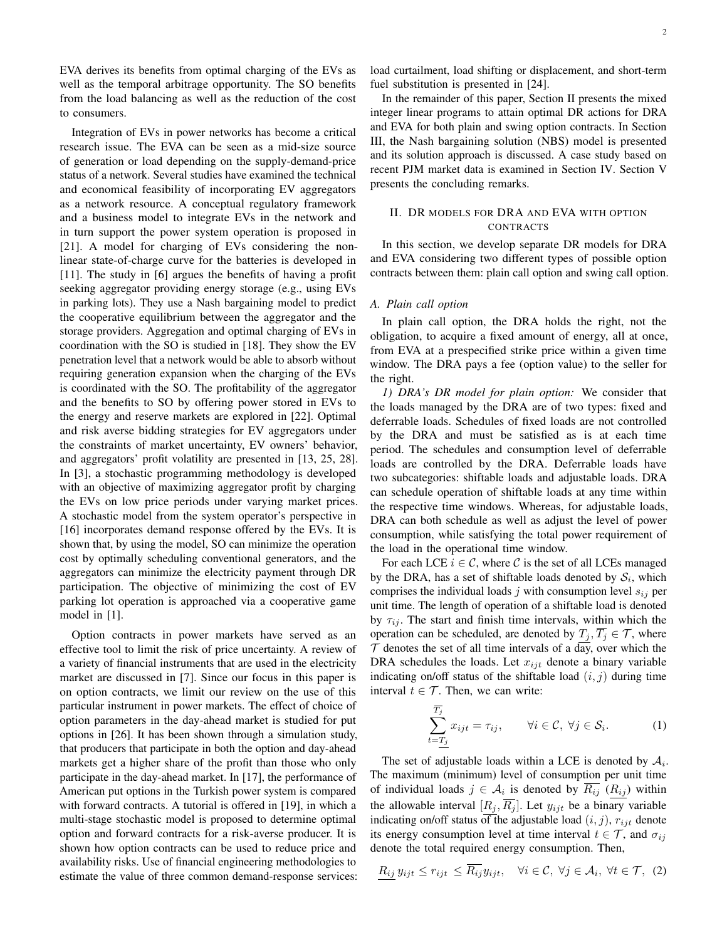EVA derives its benefits from optimal charging of the EVs as well as the temporal arbitrage opportunity. The SO benefits from the load balancing as well as the reduction of the cost to consumers.

Integration of EVs in power networks has become a critical research issue. The EVA can be seen as a mid-size source of generation or load depending on the supply-demand-price status of a network. Several studies have examined the technical and economical feasibility of incorporating EV aggregators as a network resource. A conceptual regulatory framework and a business model to integrate EVs in the network and in turn support the power system operation is proposed in [\[21\]](#page-7-3). A model for charging of EVs considering the nonlinear state-of-charge curve for the batteries is developed in [\[11\]](#page-7-4). The study in [\[6\]](#page-6-2) argues the benefits of having a profit seeking aggregator providing energy storage (e.g., using EVs in parking lots). They use a Nash bargaining model to predict the cooperative equilibrium between the aggregator and the storage providers. Aggregation and optimal charging of EVs in coordination with the SO is studied in [\[18\]](#page-7-5). They show the EV penetration level that a network would be able to absorb without requiring generation expansion when the charging of the EVs is coordinated with the SO. The profitability of the aggregator and the benefits to SO by offering power stored in EVs to the energy and reserve markets are explored in [\[22\]](#page-7-6). Optimal and risk averse bidding strategies for EV aggregators under the constraints of market uncertainty, EV owners' behavior, and aggregators' profit volatility are presented in [\[13,](#page-7-7) [25,](#page-7-8) [28\]](#page-7-9). In [\[3\]](#page-6-3), a stochastic programming methodology is developed with an objective of maximizing aggregator profit by charging the EVs on low price periods under varying market prices. A stochastic model from the system operator's perspective in [\[16\]](#page-7-10) incorporates demand response offered by the EVs. It is shown that, by using the model, SO can minimize the operation cost by optimally scheduling conventional generators, and the aggregators can minimize the electricity payment through DR participation. The objective of minimizing the cost of EV parking lot operation is approached via a cooperative game model in [\[1\]](#page-6-4).

Option contracts in power markets have served as an effective tool to limit the risk of price uncertainty. A review of a variety of financial instruments that are used in the electricity market are discussed in [\[7\]](#page-6-5). Since our focus in this paper is on option contracts, we limit our review on the use of this particular instrument in power markets. The effect of choice of option parameters in the day-ahead market is studied for put options in [\[26\]](#page-7-11). It has been shown through a simulation study, that producers that participate in both the option and day-ahead markets get a higher share of the profit than those who only participate in the day-ahead market. In [\[17\]](#page-7-12), the performance of American put options in the Turkish power system is compared with forward contracts. A tutorial is offered in [\[19\]](#page-7-13), in which a multi-stage stochastic model is proposed to determine optimal option and forward contracts for a risk-averse producer. It is shown how option contracts can be used to reduce price and availability risks. Use of financial engineering methodologies to estimate the value of three common demand-response services:

load curtailment, load shifting or displacement, and short-term fuel substitution is presented in [\[24\]](#page-7-14).

In the remainder of this paper, Section [II](#page-1-0) presents the mixed integer linear programs to attain optimal DR actions for DRA and EVA for both plain and swing option contracts. In Section [III,](#page-3-0) the Nash bargaining solution (NBS) model is presented and its solution approach is discussed. A case study based on recent PJM market data is examined in Section [IV.](#page-4-0) Section [V](#page-6-6) presents the concluding remarks.

# <span id="page-1-0"></span>II. DR MODELS FOR DRA AND EVA WITH OPTION CONTRACTS

In this section, we develop separate DR models for DRA and EVA considering two different types of possible option contracts between them: plain call option and swing call option.

#### *A. Plain call option*

In plain call option, the DRA holds the right, not the obligation, to acquire a fixed amount of energy, all at once, from EVA at a prespecified strike price within a given time window. The DRA pays a fee (option value) to the seller for the right.

*1) DRA's DR model for plain option:* We consider that the loads managed by the DRA are of two types: fixed and deferrable loads. Schedules of fixed loads are not controlled by the DRA and must be satisfied as is at each time period. The schedules and consumption level of deferrable loads are controlled by the DRA. Deferrable loads have two subcategories: shiftable loads and adjustable loads. DRA can schedule operation of shiftable loads at any time within the respective time windows. Whereas, for adjustable loads, DRA can both schedule as well as adjust the level of power consumption, while satisfying the total power requirement of the load in the operational time window.

For each LCE  $i \in \mathcal{C}$ , where C is the set of all LCEs managed by the DRA, has a set of shiftable loads denoted by  $S_i$ , which comprises the individual loads j with consumption level  $s_{ij}$  per unit time. The length of operation of a shiftable load is denoted by  $\tau_{ij}$ . The start and finish time intervals, within which the operation can be scheduled, are denoted by  $T_j, \overline{T_j} \in \mathcal{T}$ , where  $\tau$  denotes the set of all time intervals of a day, over which the DRA schedules the loads. Let  $x_{i}$  denote a binary variable indicating on/off status of the shiftable load  $(i, j)$  during time interval  $t \in \mathcal{T}$ . Then, we can write:

<span id="page-1-1"></span>
$$
\sum_{t=\underline{T_j}}^{T_j} x_{ijt} = \tau_{ij}, \qquad \forall i \in \mathcal{C}, \ \forall j \in \mathcal{S}_i.
$$
 (1)

The set of adjustable loads within a LCE is denoted by  $A_i$ . The maximum (minimum) level of consumption per unit time of individual loads  $j \in \mathcal{A}_i$  is denoted by  $\overline{R_{ij}}$   $(R_{ij})$  within the allowable interval  $[R_j, \overline{R_j}]$ . Let  $y_{ijt}$  be a binary variable indicating on/off status of the adjustable load  $(i, j)$ ,  $r_{ijt}$  denote its energy consumption level at time interval  $t \in \mathcal{T}$ , and  $\sigma_{ij}$ denote the total required energy consumption. Then,

$$
R_{ij} y_{ijt} \le r_{ijt} \le \overline{R_{ij}} y_{ijt}, \quad \forall i \in \mathcal{C}, \ \forall j \in \mathcal{A}_i, \ \forall t \in \mathcal{T}, \ (2)
$$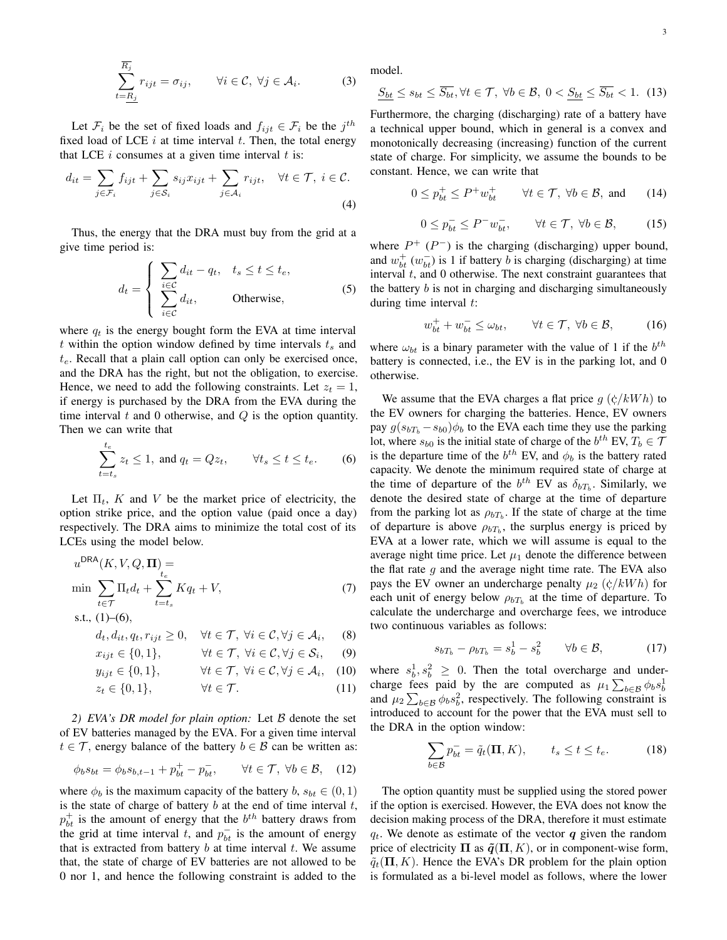$$
\sum_{t=R_j}^{\overline{R}_j} r_{ijt} = \sigma_{ij}, \qquad \forall i \in \mathcal{C}, \ \forall j \in \mathcal{A}_i.
$$
 (3)

Let  $\mathcal{F}_i$  be the set of fixed loads and  $f_{ijt} \in \mathcal{F}_i$  be the  $j^{th}$ fixed load of LCE  $i$  at time interval  $t$ . Then, the total energy that LCE  $i$  consumes at a given time interval  $t$  is:

$$
d_{it} = \sum_{j \in \mathcal{F}_i} f_{ijt} + \sum_{j \in \mathcal{S}_i} s_{ij} x_{ijt} + \sum_{j \in \mathcal{A}_i} r_{ijt}, \quad \forall t \in \mathcal{T}, \ i \in \mathcal{C}.
$$
  
(4)

Thus, the energy that the DRA must buy from the grid at a give time period is:

$$
d_t = \begin{cases} \sum_{i \in \mathcal{C}} d_{it} - q_t, & t_s \le t \le t_e, \\ \sum_{i \in \mathcal{C}} d_{it}, & \text{Otherwise}, \end{cases}
$$
(5)

where  $q_t$  is the energy bought form the EVA at time interval t within the option window defined by time intervals  $t_s$  and  $t_e$ . Recall that a plain call option can only be exercised once, and the DRA has the right, but not the obligation, to exercise. Hence, we need to add the following constraints. Let  $z_t = 1$ , if energy is purchased by the DRA from the EVA during the time interval  $t$  and  $0$  otherwise, and  $Q$  is the option quantity. Then we can write that

$$
\sum_{t=t_s}^{t_e} z_t \le 1, \text{ and } q_t = Qz_t, \qquad \forall t_s \le t \le t_e. \tag{6}
$$

Let  $\Pi_t$ , K and V be the market price of electricity, the option strike price, and the option value (paid once a day) respectively. The DRA aims to minimize the total cost of its LCEs using the model below.

$$
uDRA(K, V, Q, \Pi) =
$$
  
\n
$$
\min \sum_{t \in T} \Pi_t d_t + \sum_{t=t_s}^{t_e} K q_t + V,
$$
  
\ns.t., (1)–(6), (7)

$$
d_t, d_{it}, q_t, r_{ijt} \ge 0, \quad \forall t \in \mathcal{T}, \ \forall i \in \mathcal{C}, \forall j \in \mathcal{A}_i,
$$
 (8)

$$
x_{ijt} \in \{0, 1\}, \qquad \forall t \in \mathcal{T}, \ \forall i \in \mathcal{C}, \forall j \in \mathcal{S}_i, \tag{9}
$$

$$
y_{ijt} \in \{0, 1\}, \qquad \forall t \in \mathcal{T}, \ \forall i \in \mathcal{C}, \forall j \in \mathcal{A}_i, \quad (10)
$$

$$
z_t \in \{0, 1\}, \qquad \forall t \in \mathcal{T}.
$$
 (11)

*2) EVA's DR model for plain option:* Let B denote the set of EV batteries managed by the EVA. For a given time interval  $t \in \mathcal{T}$ , energy balance of the battery  $b \in \mathcal{B}$  can be written as:

$$
\phi_b s_{bt} = \phi_b s_{b,t-1} + p_{bt}^+ - p_{bt}^-, \qquad \forall t \in \mathcal{T}, \ \forall b \in \mathcal{B}, \quad (12)
$$

where  $\phi_b$  is the maximum capacity of the battery b,  $s_{bt} \in (0,1)$ is the state of charge of battery  $b$  at the end of time interval  $t$ ,  $p_{bt}^+$  is the amount of energy that the  $b^{th}$  battery draws from the grid at time interval t, and  $p_{bt}^-$  is the amount of energy that is extracted from battery  $b$  at time interval  $t$ . We assume that, the state of charge of EV batteries are not allowed to be 0 nor 1, and hence the following constraint is added to the

model.

$$
\underline{S_{bt}} \le s_{bt} \le \overline{S_{bt}}, \forall t \in \mathcal{T}, \ \forall b \in \mathcal{B}, \ 0 < \underline{S_{bt}} \le \overline{S_{bt}} < 1. \tag{13}
$$

Furthermore, the charging (discharging) rate of a battery have a technical upper bound, which in general is a convex and monotonically decreasing (increasing) function of the current state of charge. For simplicity, we assume the bounds to be constant. Hence, we can write that

$$
0 \le p_{bt}^+ \le P^+ w_{bt}^+ \qquad \forall t \in \mathcal{T}, \ \forall b \in \mathcal{B}, \text{ and } \qquad (14)
$$

$$
0 \le p_{bt}^- \le P^- w_{bt}^-,\qquad \forall t \in \mathcal{T}, \ \forall b \in \mathcal{B},\tag{15}
$$

<span id="page-2-3"></span>where  $P^+$  ( $P^-$ ) is the charging (discharging) upper bound, and  $w_{bt}^{+}(w_{bt}^{-})$  is 1 if battery b is charging (discharging) at time interval  $t$ , and  $0$  otherwise. The next constraint guarantees that the battery  $b$  is not in charging and discharging simultaneously during time interval  $t$ :

$$
w_{bt}^+ + w_{bt}^- \le \omega_{bt}, \qquad \forall t \in \mathcal{T}, \ \forall b \in \mathcal{B}, \tag{16}
$$

where  $\omega_{bt}$  is a binary parameter with the value of 1 if the  $b^{th}$ battery is connected, i.e., the EV is in the parking lot, and 0 otherwise.

<span id="page-2-0"></span>We assume that the EVA charges a flat price  $g(\phi/kWh)$  to the EV owners for charging the batteries. Hence, EV owners pay  $g(s_{bT_b} - s_{b0})\phi_b$  to the EVA each time they use the parking lot, where  $s_{b0}$  is the initial state of charge of the  $b^{th}$  EV,  $T_b \in \mathcal{T}$ is the departure time of the  $b^{th}$  EV, and  $\phi_b$  is the battery rated capacity. We denote the minimum required state of charge at the time of departure of the  $b^{th}$  EV as  $\delta_{bT_b}$ . Similarly, we denote the desired state of charge at the time of departure from the parking lot as  $\rho_{bT_b}$ . If the state of charge at the time of departure is above  $\rho_{bT_b}$ , the surplus energy is priced by EVA at a lower rate, which we will assume is equal to the average night time price. Let  $\mu_1$  denote the difference between the flat rate  $q$  and the average night time rate. The EVA also pays the EV owner an undercharge penalty  $\mu_2$  ( $\dot{\varsigma}/kWh$ ) for each unit of energy below  $\rho_{bT_b}$  at the time of departure. To calculate the undercharge and overcharge fees, we introduce two continuous variables as follows:

$$
s_{bT_b} - \rho_{bT_b} = s_b^1 - s_b^2 \qquad \forall b \in \mathcal{B}, \tag{17}
$$

<span id="page-2-5"></span><span id="page-2-4"></span>where  $s_b^1, s_b^2 \geq 0$ . Then the total overcharge and undercharge fees paid by the are computed as  $\mu_1 \sum_{b \in \mathcal{B}} \phi_b s_b^1$ and  $\mu_2 \sum_{b \in \mathcal{B}} \phi_b s_b^2$ , respectively. The following constraint is introduced to account for the power that the EVA must sell to the DRA in the option window:

<span id="page-2-2"></span>
$$
\sum_{b \in \mathcal{B}} p_{bt}^- = \tilde{q}_t(\mathbf{\Pi}, K), \qquad t_s \le t \le t_e. \tag{18}
$$

<span id="page-2-1"></span>The option quantity must be supplied using the stored power if the option is exercised. However, the EVA does not know the decision making process of the DRA, therefore it must estimate  $q_t$ . We denote as estimate of the vector q given the random price of electricity  $\Pi$  as  $\tilde{q}(\Pi, K)$ , or in component-wise form,  $\tilde{q}_t(\Pi, K)$ . Hence the EVA's DR problem for the plain option is formulated as a bi-level model as follows, where the lower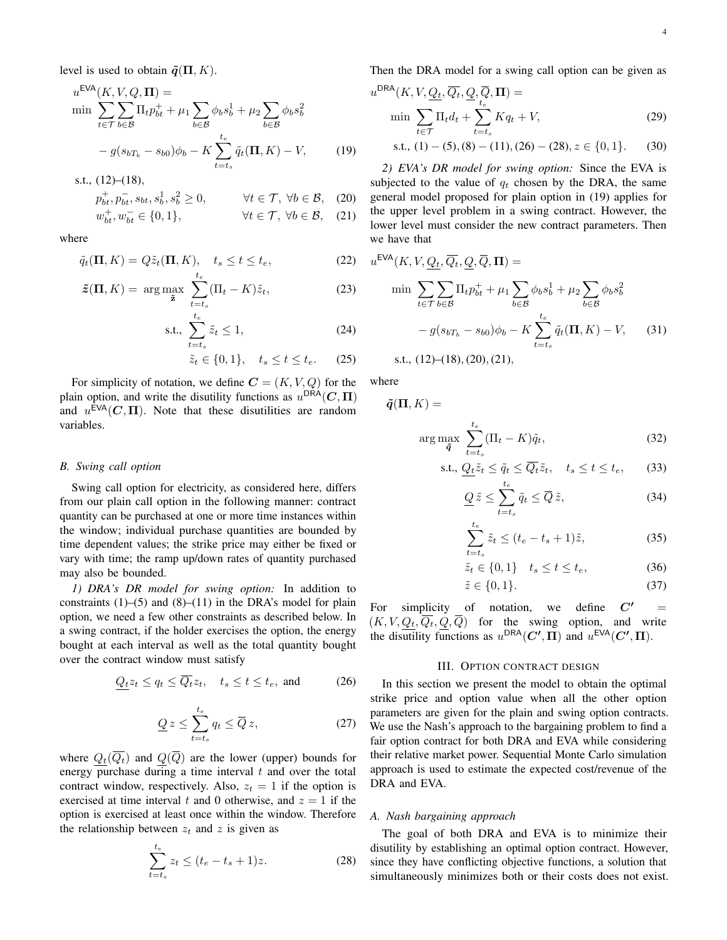$$
u^{\text{EVA}}(K, V, Q, \Pi) = \min_{t \in \mathcal{T}} \sum_{b \in \mathcal{B}} \Pi_t p_{bt}^+ + \mu_1 \sum_{b \in \mathcal{B}} \phi_b s_b^1 + \mu_2 \sum_{b \in \mathcal{B}} \phi_b s_b^2
$$

$$
- g(s_{bT_b} - s_{b0}) \phi_b - K \sum_{t=t_s}^{t_e} \tilde{q}_t(\Pi, K) - V, \qquad (19)
$$

s.t., [\(12\)](#page-2-1)–[\(18\)](#page-2-2),

$$
p_{bt}^+, p_{bt}^-, s_{bt}, s_b^1, s_b^2 \ge 0, \qquad \forall t \in \mathcal{T}, \ \forall b \in \mathcal{B}, \tag{20}
$$

$$
w_{bt}^+, w_{bt}^- \in \{0, 1\}, \qquad \forall t \in \mathcal{T}, \ \forall b \in \mathcal{B}, \quad (21)
$$

where

$$
\tilde{q}_t(\mathbf{\Pi}, K) = Q\tilde{z}_t(\mathbf{\Pi}, K), \quad t_s \le t \le t_e,
$$
\n(22)

$$
\tilde{z}(\Pi, K) = \arg \max_{\tilde{z}} \sum_{t=t_s}^{t_e} (\Pi_t - K) \tilde{z}_t,
$$
 (23)

$$
\text{s.t., } \sum_{t=t_s}^{t_e} \tilde{z}_t \le 1,\tag{24}
$$

$$
\tilde{z}_t \in \{0, 1\}, \quad t_s \le t \le t_e. \tag{25}
$$

For simplicity of notation, we define  $C = (K, V, Q)$  for the plain option, and write the disutility functions as  $u^{\text{DRA}}(C, \Pi)$ and  $u^{\text{EVA}}(C, \Pi)$ . Note that these disutilities are random variables.

#### *B. Swing call option*

Swing call option for electricity, as considered here, differs from our plain call option in the following manner: contract quantity can be purchased at one or more time instances within the window; individual purchase quantities are bounded by time dependent values; the strike price may either be fixed or vary with time; the ramp up/down rates of quantity purchased may also be bounded.

*1) DRA's DR model for swing option:* In addition to constraints  $(1)$ – $(5)$  and  $(8)$ – $(11)$  in the DRA's model for plain option, we need a few other constraints as described below. In a swing contract, if the holder exercises the option, the energy bought at each interval as well as the total quantity bought over the contract window must satisfy

$$
\underline{Q_t} z_t \le q_t \le \overline{Q_t} z_t, \quad t_s \le t \le t_e, \text{ and } \tag{26}
$$

$$
\underline{Q} z \le \sum_{t=t_s}^{t_e} q_t \le \overline{Q} z,\tag{27}
$$

where  $Q_t(\overline{Q_t})$  and  $Q(\overline{Q})$  are the lower (upper) bounds for energy purchase during a time interval  $t$  and over the total contract window, respectively. Also,  $z_t = 1$  if the option is exercised at time interval t and 0 otherwise, and  $z = 1$  if the option is exercised at least once within the window. Therefore the relationship between  $z_t$  and z is given as

$$
\sum_{t=t_s}^{t_e} z_t \le (t_e - t_s + 1)z.
$$
 (28)

Then the DRA model for a swing call option can be given as

$$
u^{\text{DRA}}(K, V, \underline{Q_t}, \overline{Q_t}, \underline{Q}, \overline{Q}, \Pi) = \min \sum_{t \in \mathcal{T}} \Pi_t d_t + \sum_{t=t_s}^{t_e} K q_t + V,
$$
\n(29)

<span id="page-3-7"></span>s.t., 
$$
(1) - (5)
$$
,  $(8) - (11)$ ,  $(26) - (28)$ ,  $z \in \{0, 1\}$ . (30)

<span id="page-3-5"></span><span id="page-3-4"></span><span id="page-3-3"></span>*2) EVA's DR model for swing option:* Since the EVA is subjected to the value of  $q_t$  chosen by the DRA, the same general model proposed for plain option in [\(19\)](#page-3-3) applies for the upper level problem in a swing contract. However, the lower level must consider the new contract parameters. Then we have that

$$
u^{\text{EVA}}(K, V, Q_t, \overline{Q}_t, \overline{Q}, \overline{\mathbf{Q}}, \overline{\mathbf{\Pi}}) =
$$
  
min 
$$
\sum_{t \in \mathcal{T}} \sum_{b \in \mathcal{B}} \Pi_t p_{bt}^+ + \mu_1 \sum_{b \in \mathcal{B}} \phi_b s_b^1 + \mu_2 \sum_{b \in \mathcal{B}} \phi_b s_b^2
$$

$$
- g(s_{bT_b} - s_{b0}) \phi_b - K \sum_{t=t_s}^{t_e} \tilde{q}_t(\mathbf{\Pi}, K) - V,
$$
 (31)

s.t., 
$$
(12)
$$
– $(18)$ ,  $(20)$ ,  $(21)$ ,

<span id="page-3-6"></span>where

$$
\tilde{\bm{q}}(\bm{\Pi},K) =
$$

$$
\arg\max_{\tilde{\boldsymbol{q}}} \sum_{t=t_s}^{t_e} (\Pi_t - K)\tilde{q}_t,\tag{32}
$$

s.t., 
$$
\underbrace{Q_t}{\tilde{z}_t} \leq \tilde{q}_t \leq \overline{Q_t} \tilde{z}_t, \quad t_s \leq t \leq t_e, \tag{33}
$$

<span id="page-3-8"></span>
$$
\underline{Q}\,\tilde{z} \le \sum_{t=t_s}^{t_e} \tilde{q}_t \le \overline{Q}\,\tilde{z},\tag{34}
$$

$$
\sum_{t=t_s}^{t_e} \tilde{z}_t \le (t_e - t_s + 1)\tilde{z},\tag{35}
$$

$$
\tilde{z}_t \in \{0, 1\} \quad t_s \le t \le t_e,\tag{36}
$$

<span id="page-3-9"></span>
$$
\tilde{z} \in \{0, 1\}.\tag{37}
$$

For simplicity of notation, we define  $C'$  $(K, V, Q_t, Q_t, Q, Q)$  for the swing option, and write the disutility functions as  $u^{\text{DRA}}(C', \Pi)$  and  $u^{\text{EVA}}(C', \Pi)$ .

#### III. OPTION CONTRACT DESIGN

<span id="page-3-1"></span><span id="page-3-0"></span>In this section we present the model to obtain the optimal strike price and option value when all the other option parameters are given for the plain and swing option contracts. We use the Nash's approach to the bargaining problem to find a fair option contract for both DRA and EVA while considering their relative market power. Sequential Monte Carlo simulation approach is used to estimate the expected cost/revenue of the DRA and EVA.

#### *A. Nash bargaining approach*

<span id="page-3-2"></span>The goal of both DRA and EVA is to minimize their disutility by establishing an optimal option contract. However, since they have conflicting objective functions, a solution that simultaneously minimizes both or their costs does not exist.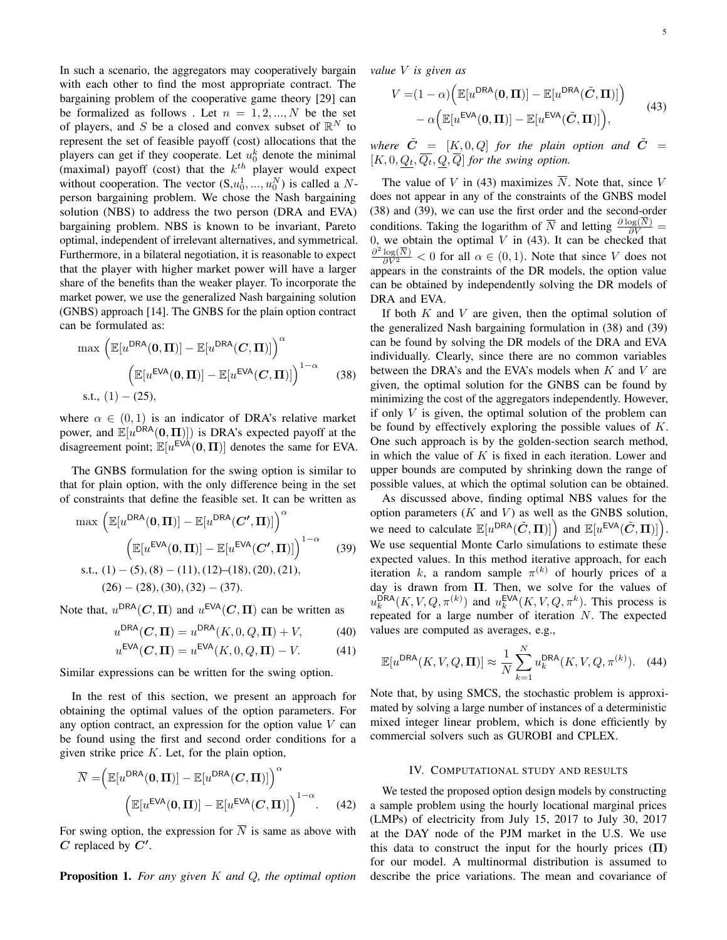In such a scenario, the aggregators may cooperatively bargain with each other to find the most appropriate contract. The bargaining problem of the cooperative game theory [\[29\]](#page-7-15) can be formalized as follows. Let  $n = 1, 2, ..., N$  be the set of players, and S be a closed and convex subset of  $\mathbb{R}^N$  to represent the set of feasible payoff (cost) allocations that the players can get if they cooperate. Let  $u_0^k$  denote the minimal (maximal) payoff (cost) that the  $k^{th}$  player would expect without cooperation. The vector  $(S, u_0^1, ..., u_0^N)$  is called a Nperson bargaining problem. We chose the Nash bargaining solution (NBS) to address the two person (DRA and EVA) bargaining problem. NBS is known to be invariant, Pareto optimal, independent of irrelevant alternatives, and symmetrical. Furthermore, in a bilateral negotiation, it is reasonable to expect that the player with higher market power will have a larger share of the benefits than the weaker player. To incorporate the market power, we use the generalized Nash bargaining solution (GNBS) approach [\[14\]](#page-7-16). The GNBS for the plain option contract can be formulated as:

$$
\max \left( \mathbb{E}[u^{\text{DRA}}(\mathbf{0}, \mathbf{\Pi})] - \mathbb{E}[u^{\text{DRA}}(\mathbf{C}, \mathbf{\Pi})] \right)^{\alpha}
$$

$$
\left( \mathbb{E}[u^{\text{EVA}}(\mathbf{0}, \mathbf{\Pi})] - \mathbb{E}[u^{\text{EVA}}(\mathbf{C}, \mathbf{\Pi})] \right)^{1-\alpha} \tag{38}
$$
s.t., (1) – (25),

where  $\alpha \in (0,1)$  is an indicator of DRA's relative market power, and  $\mathbb{E}[u^{\text{DRA}}(0, \Pi)]$ ) is DRA's expected payoff at the disagreement point;  $\mathbb{E}[u^{\text{EVA}}(0, \Pi)]$  denotes the same for EVA.

The GNBS formulation for the swing option is similar to that for plain option, with the only difference being in the set of constraints that define the feasible set. It can be written as

max 
$$
\left(\mathbb{E}[u^{DRA}(\mathbf{0}, \mathbf{\Pi})] - \mathbb{E}[u^{DRA}(C', \mathbf{\Pi})]\right)^{\alpha}
$$
  
\n $\left(\mathbb{E}[u^{EVA}(\mathbf{0}, \mathbf{\Pi})] - \mathbb{E}[u^{EVA}(C', \mathbf{\Pi})]\right)^{1-\alpha}$  (39)  
\ns.t., (1) – (5), (8) – (11), (12)–(18), (20), (21),  
\n(26) – (28), (30), (32) – (37).

Note that,  $u^{\text{DRA}}(C, \Pi)$  and  $u^{\text{EVA}}(C, \Pi)$  can be written as

$$
u^{\text{DRA}}(C, \Pi) = u^{\text{DRA}}(K, 0, Q, \Pi) + V,\tag{40}
$$

$$
u^{\text{EVA}}(C, \Pi) = u^{\text{EVA}}(K, 0, Q, \Pi) - V.
$$
 (41)

Similar expressions can be written for the swing option.

In the rest of this section, we present an approach for obtaining the optimal values of the option parameters. For any option contract, an expression for the option value  $V$  can be found using the first and second order conditions for a given strike price  $K$ . Let, for the plain option,

$$
\overline{N} = \left(\mathbb{E}[u^{\text{DRA}}(0, \Pi)] - \mathbb{E}[u^{\text{DRA}}(C, \Pi)]\right)^{\alpha} \left(\mathbb{E}[u^{\text{EVA}}(0, \Pi)] - \mathbb{E}[u^{\text{EVA}}(C, \Pi)]\right)^{1-\alpha}.
$$
 (42)

For swing option, the expression for  $\overline{N}$  is same as above with  $C$  replaced by  $C'$ .

Proposition 1. *For any given* K *and* Q*, the optimal option*

*value* V *is given as*

<span id="page-4-1"></span>
$$
V = (1 - \alpha) \Big( \mathbb{E}[u^{\text{DRA}}(0, \Pi)] - \mathbb{E}[u^{\text{DRA}}(\tilde{C}, \Pi)] \Big) - \alpha \Big( \mathbb{E}[u^{\text{EVA}}(0, \Pi)] - \mathbb{E}[u^{\text{EVA}}(\tilde{C}, \Pi)] \Big), \tag{43}
$$

*where*  $\tilde{C}$  = [K, 0, Q] *for the plain option and*  $\tilde{C}$  =  $[K, 0, Q_t, \overline{Q_t}, Q, \overline{Q}]$  *for the swing option.* 

The value of V in [\(43\)](#page-4-1) maximizes  $\overline{N}$ . Note that, since V does not appear in any of the constraints of the GNBS model [\(38\)](#page-4-2) and [\(39\)](#page-4-3), we can use the first order and the second-order conditions. Taking the logarithm of  $\overline{N}$  and letting  $\frac{\partial \log(N)}{\partial V}$  = 0, we obtain the optimal  $V$  in [\(43\)](#page-4-1). It can be checked that  $\frac{\partial^2 \log(\overline{N})}{\partial V^2}$  < 0 for all  $\alpha \in (0,1)$ . Note that since V does not appears in the constraints of the DR models, the option value can be obtained by independently solving the DR models of DRA and EVA.

<span id="page-4-2"></span>If both  $K$  and  $V$  are given, then the optimal solution of the generalized Nash bargaining formulation in [\(38\)](#page-4-2) and [\(39\)](#page-4-3) can be found by solving the DR models of the DRA and EVA individually. Clearly, since there are no common variables between the DRA's and the EVA's models when  $K$  and  $V$  are given, the optimal solution for the GNBS can be found by minimizing the cost of the aggregators independently. However, if only  $V$  is given, the optimal solution of the problem can be found by effectively exploring the possible values of  $K$ . One such approach is by the golden-section search method, in which the value of  $K$  is fixed in each iteration. Lower and upper bounds are computed by shrinking down the range of possible values, at which the optimal solution can be obtained.

<span id="page-4-3"></span>As discussed above, finding optimal NBS values for the option parameters  $(K$  and  $V)$  as well as the GNBS solution, we need to calculate  $\mathbb{E}[u^{\text{DRA}}(\tilde{\mathbf{C}}, \Pi)]$  and  $\mathbb{E}[u^{\text{EVA}}(\tilde{\mathbf{C}}, \Pi)]$ . We use sequential Monte Carlo simulations to estimate these expected values. In this method iterative approach, for each iteration k, a random sample  $\pi^{(k)}$  of hourly prices of a day is drawn from Π. Then, we solve for the values of  $u_k^{\text{DRA}}(K, V, Q, \pi^{(k)})$  and  $u_k^{\text{EVA}}(K, V, Q, \pi^k)$ . This process is repeated for a large number of iteration N. The expected values are computed as averages, e.g.,

$$
\mathbb{E}[u^{\text{DRA}}(K, V, Q, \mathbf{\Pi})] \approx \frac{1}{N} \sum_{k=1}^{N} u_k^{\text{DRA}}(K, V, Q, \pi^{(k)}). \quad (44)
$$

Note that, by using SMCS, the stochastic problem is approximated by solving a large number of instances of a deterministic mixed integer linear problem, which is done efficiently by commercial solvers such as GUROBI and CPLEX.

# IV. COMPUTATIONAL STUDY AND RESULTS

<span id="page-4-0"></span>We tested the proposed option design models by constructing a sample problem using the hourly locational marginal prices (LMPs) of electricity from July 15, 2017 to July 30, 2017 at the DAY node of the PJM market in the U.S. We use this data to construct the input for the hourly prices  $(II)$ for our model. A multinormal distribution is assumed to describe the price variations. The mean and covariance of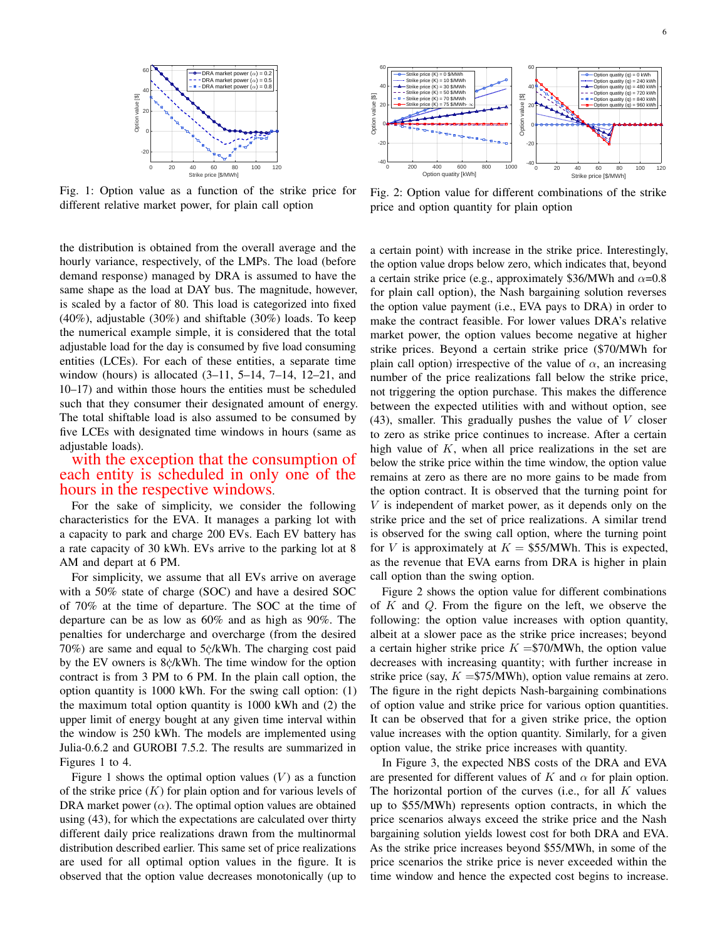<span id="page-5-0"></span>

Fig. 1: Option value as a function of the strike price for different relative market power, for plain call option

the distribution is obtained from the overall average and the hourly variance, respectively, of the LMPs. The load (before demand response) managed by DRA is assumed to have the same shape as the load at DAY bus. The magnitude, however, is scaled by a factor of 80. This load is categorized into fixed (40%), adjustable (30%) and shiftable (30%) loads. To keep the numerical example simple, it is considered that the total adjustable load for the day is consumed by five load consuming entities (LCEs). For each of these entities, a separate time window (hours) is allocated  $(3-11, 5-14, 7-14, 12-21,$  and 10–17) and within those hours the entities must be scheduled such that they consumer their designated amount of energy. The total shiftable load is also assumed to be consumed by five LCEs with designated time windows in hours (same as adjustable loads).

# with the exception that the consumption of each entity is scheduled in only one of the hours in the respective windows.

For the sake of simplicity, we consider the following characteristics for the EVA. It manages a parking lot with a capacity to park and charge 200 EVs. Each EV battery has a rate capacity of 30 kWh. EVs arrive to the parking lot at 8 AM and depart at 6 PM.

For simplicity, we assume that all EVs arrive on average with a 50% state of charge (SOC) and have a desired SOC of 70% at the time of departure. The SOC at the time of departure can be as low as 60% and as high as 90%. The penalties for undercharge and overcharge (from the desired  $70\%$ ) are same and equal to  $5\frac{\text{c}}{\text{c}}$  KWh. The charging cost paid by the EV owners is 8 $\dot{\rm c}$ /kWh. The time window for the option contract is from 3 PM to 6 PM. In the plain call option, the option quantity is 1000 kWh. For the swing call option: (1) the maximum total option quantity is 1000 kWh and (2) the upper limit of energy bought at any given time interval within the window is 250 kWh. The models are implemented using Julia-0.6.2 and GUROBI 7.5.2. The results are summarized in Figures [1](#page-5-0) to [4.](#page-6-7)

Figure [1](#page-5-0) shows the optimal option values  $(V)$  as a function of the strike price  $(K)$  for plain option and for various levels of DRA market power  $(\alpha)$ . The optimal option values are obtained using [\(43\)](#page-4-1), for which the expectations are calculated over thirty different daily price realizations drawn from the multinormal distribution described earlier. This same set of price realizations are used for all optimal option values in the figure. It is observed that the option value decreases monotonically (up to

<span id="page-5-1"></span>

Fig. 2: Option value for different combinations of the strike price and option quantity for plain option

a certain point) with increase in the strike price. Interestingly, the option value drops below zero, which indicates that, beyond a certain strike price (e.g., approximately \$36/MWh and  $\alpha$ =0.8 for plain call option), the Nash bargaining solution reverses the option value payment (i.e., EVA pays to DRA) in order to make the contract feasible. For lower values DRA's relative market power, the option values become negative at higher strike prices. Beyond a certain strike price (\$70/MWh for plain call option) irrespective of the value of  $\alpha$ , an increasing number of the price realizations fall below the strike price, not triggering the option purchase. This makes the difference between the expected utilities with and without option, see  $(43)$ , smaller. This gradually pushes the value of V closer to zero as strike price continues to increase. After a certain high value of  $K$ , when all price realizations in the set are below the strike price within the time window, the option value remains at zero as there are no more gains to be made from the option contract. It is observed that the turning point for V is independent of market power, as it depends only on the strike price and the set of price realizations. A similar trend is observed for the swing call option, where the turning point for V is approximately at  $K = $55/MWh$ . This is expected, as the revenue that EVA earns from DRA is higher in plain call option than the swing option.

Figure [2](#page-5-1) shows the option value for different combinations of  $K$  and  $Q$ . From the figure on the left, we observe the following: the option value increases with option quantity, albeit at a slower pace as the strike price increases; beyond a certain higher strike price  $K = $70/MWh$ , the option value decreases with increasing quantity; with further increase in strike price (say,  $K = $75/MWh$ ), option value remains at zero. The figure in the right depicts Nash-bargaining combinations of option value and strike price for various option quantities. It can be observed that for a given strike price, the option value increases with the option quantity. Similarly, for a given option value, the strike price increases with quantity.

In Figure [3,](#page-6-8) the expected NBS costs of the DRA and EVA are presented for different values of K and  $\alpha$  for plain option. The horizontal portion of the curves (i.e., for all  $K$  values up to \$55/MWh) represents option contracts, in which the price scenarios always exceed the strike price and the Nash bargaining solution yields lowest cost for both DRA and EVA. As the strike price increases beyond \$55/MWh, in some of the price scenarios the strike price is never exceeded within the time window and hence the expected cost begins to increase.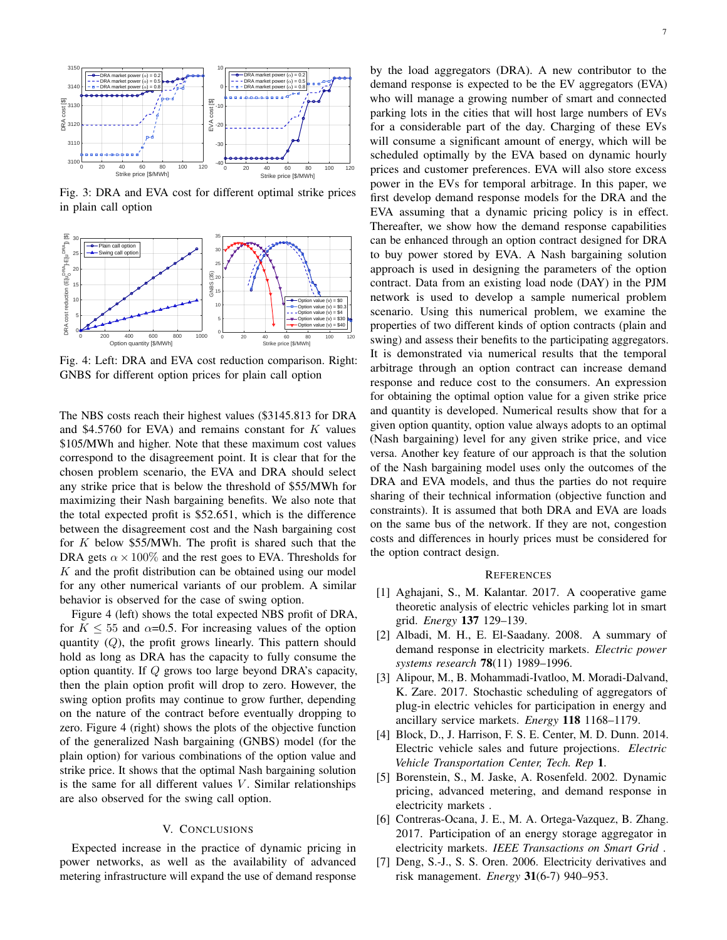<span id="page-6-8"></span>

Fig. 3: DRA and EVA cost for different optimal strike prices in plain call option

<span id="page-6-7"></span>

Fig. 4: Left: DRA and EVA cost reduction comparison. Right: GNBS for different option prices for plain call option

The NBS costs reach their highest values (\$3145.813 for DRA and \$4.5760 for EVA) and remains constant for  $K$  values \$105/MWh and higher. Note that these maximum cost values correspond to the disagreement point. It is clear that for the chosen problem scenario, the EVA and DRA should select any strike price that is below the threshold of \$55/MWh for maximizing their Nash bargaining benefits. We also note that the total expected profit is \$52.651, which is the difference between the disagreement cost and the Nash bargaining cost for  $K$  below \$55/MWh. The profit is shared such that the DRA gets  $\alpha \times 100\%$  and the rest goes to EVA. Thresholds for  $K$  and the profit distribution can be obtained using our model for any other numerical variants of our problem. A similar behavior is observed for the case of swing option.

Figure [4](#page-6-7) (left) shows the total expected NBS profit of DRA, for  $K \le 55$  and  $\alpha = 0.5$ . For increasing values of the option quantity  $(Q)$ , the profit grows linearly. This pattern should hold as long as DRA has the capacity to fully consume the option quantity. If Q grows too large beyond DRA's capacity, then the plain option profit will drop to zero. However, the swing option profits may continue to grow further, depending on the nature of the contract before eventually dropping to zero. Figure [4](#page-6-7) (right) shows the plots of the objective function of the generalized Nash bargaining (GNBS) model (for the plain option) for various combinations of the option value and strike price. It shows that the optimal Nash bargaining solution is the same for all different values  $V$ . Similar relationships are also observed for the swing call option.

# V. CONCLUSIONS

<span id="page-6-6"></span>Expected increase in the practice of dynamic pricing in power networks, as well as the availability of advanced metering infrastructure will expand the use of demand response

by the load aggregators (DRA). A new contributor to the demand response is expected to be the EV aggregators (EVA) who will manage a growing number of smart and connected parking lots in the cities that will host large numbers of EVs for a considerable part of the day. Charging of these EVs will consume a significant amount of energy, which will be scheduled optimally by the EVA based on dynamic hourly prices and customer preferences. EVA will also store excess power in the EVs for temporal arbitrage. In this paper, we first develop demand response models for the DRA and the EVA assuming that a dynamic pricing policy is in effect. Thereafter, we show how the demand response capabilities can be enhanced through an option contract designed for DRA to buy power stored by EVA. A Nash bargaining solution approach is used in designing the parameters of the option contract. Data from an existing load node (DAY) in the PJM network is used to develop a sample numerical problem scenario. Using this numerical problem, we examine the properties of two different kinds of option contracts (plain and swing) and assess their benefits to the participating aggregators. It is demonstrated via numerical results that the temporal arbitrage through an option contract can increase demand response and reduce cost to the consumers. An expression for obtaining the optimal option value for a given strike price and quantity is developed. Numerical results show that for a given option quantity, option value always adopts to an optimal (Nash bargaining) level for any given strike price, and vice versa. Another key feature of our approach is that the solution of the Nash bargaining model uses only the outcomes of the DRA and EVA models, and thus the parties do not require sharing of their technical information (objective function and constraints). It is assumed that both DRA and EVA are loads on the same bus of the network. If they are not, congestion costs and differences in hourly prices must be considered for the option contract design.

#### **REFERENCES**

- <span id="page-6-4"></span>[1] Aghajani, S., M. Kalantar. 2017. A cooperative game theoretic analysis of electric vehicles parking lot in smart grid. *Energy* 137 129–139.
- [2] Albadi, M. H., E. El-Saadany. 2008. A summary of demand response in electricity markets. *Electric power systems research* 78(11) 1989–1996.
- <span id="page-6-3"></span>[3] Alipour, M., B. Mohammadi-Ivatloo, M. Moradi-Dalvand, K. Zare. 2017. Stochastic scheduling of aggregators of plug-in electric vehicles for participation in energy and ancillary service markets. *Energy* 118 1168–1179.
- <span id="page-6-1"></span>[4] Block, D., J. Harrison, F. S. E. Center, M. D. Dunn. 2014. Electric vehicle sales and future projections. *Electric Vehicle Transportation Center, Tech. Rep* 1.
- <span id="page-6-0"></span>[5] Borenstein, S., M. Jaske, A. Rosenfeld. 2002. Dynamic pricing, advanced metering, and demand response in electricity markets .
- <span id="page-6-2"></span>[6] Contreras-Ocana, J. E., M. A. Ortega-Vazquez, B. Zhang. 2017. Participation of an energy storage aggregator in electricity markets. *IEEE Transactions on Smart Grid* .
- <span id="page-6-5"></span>[7] Deng, S.-J., S. S. Oren. 2006. Electricity derivatives and risk management. *Energy* 31(6-7) 940–953.